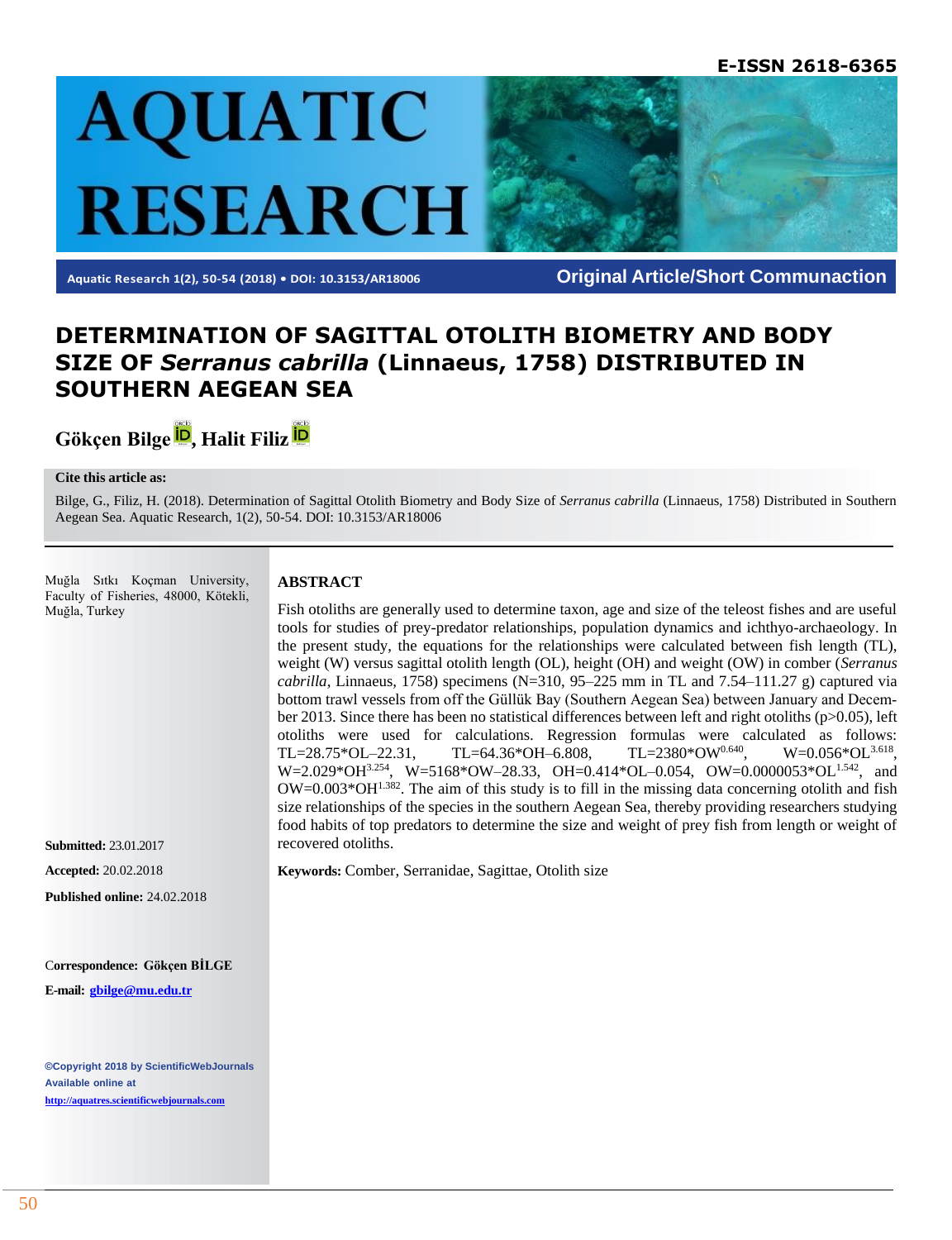

**Aquatic Research 1(2), 50-54 (2018) • DOI: 10.3153/AR18006 Original Article/Short Communaction**

# **DETERMINATION OF SAGITTAL OTOLITH BIOMETRY AND BODY SIZE OF** *Serranus cabrilla* **(Linnaeus, 1758) DISTRIBUTED IN SOUTHERN AEGEAN SEA**

**Gökçen Bilge [,](http://orcid.org/0000-0001-9072-8350) Halit Filiz** 

#### **Cite this article as:**

Bilge, G., Filiz, H. (2018). Determination of Sagittal Otolith Biometry and Body Size of *Serranus cabrilla* (Linnaeus, 1758) Distributed in Southern Aegean Sea. Aquatic Research, 1(2), 50-54. DOI: 10.3153/AR18006

Muğla Sıtkı Koçman University, Faculty of Fisheries, 48000, Kötekli, Muğla, Turkey

#### **ABSTRACT**

Fish otoliths are generally used to determine taxon, age and size of the teleost fishes and are useful tools for studies of prey-predator relationships, population dynamics and ichthyo-archaeology. In the present study, the equations for the relationships were calculated between fish length (TL), weight (W) versus sagittal otolith length (OL), height (OH) and weight (OW) in comber (*Serranus cabrilla*, Linnaeus, 1758) specimens (N=310, 95–225 mm in TL and 7.54–111.27 g) captured via bottom trawl vessels from off the Güllük Bay (Southern Aegean Sea) between January and December 2013. Since there has been no statistical differences between left and right otoliths (p>0.05), left otoliths were used for calculations. Regression formulas were calculated as follows: TL=28.75\*OL–22.31, TL=64.36\*OH–6.808, TL=2380\*OW<sup>0.640</sup>,  $W=0.056*O<sup>3.618</sup>$ . W=2.029\*OH3.254, W=5168\*OW-28.33, OH=0.414\*OL-0.054, OW=0.0000053\*OL<sup>1.542</sup>, and  $OW=0.003*OH^{1.382}$ . The aim of this study is to fill in the missing data concerning otolith and fish size relationships of the species in the southern Aegean Sea, thereby providing researchers studying food habits of top predators to determine the size and weight of prey fish from length or weight of recovered otoliths.

**Keywords:** Comber, Serranidae, Sagittae, Otolith size

C**orrespondence: Gökçen BİLGE**

**Published online:** 24.02.2018

**E-mail: [gbilge@mu.edu.tr](mailto:gbilge@mu.edu.tr)**

**Submitted:** 23.01.2017 **Accepted:** 20.02.2018

**©Copyright 2018 by ScientificWebJournals Available online at [http://aquatres.scientificwebjournals.com](http://aquatres.scientificwebjournals.com/)**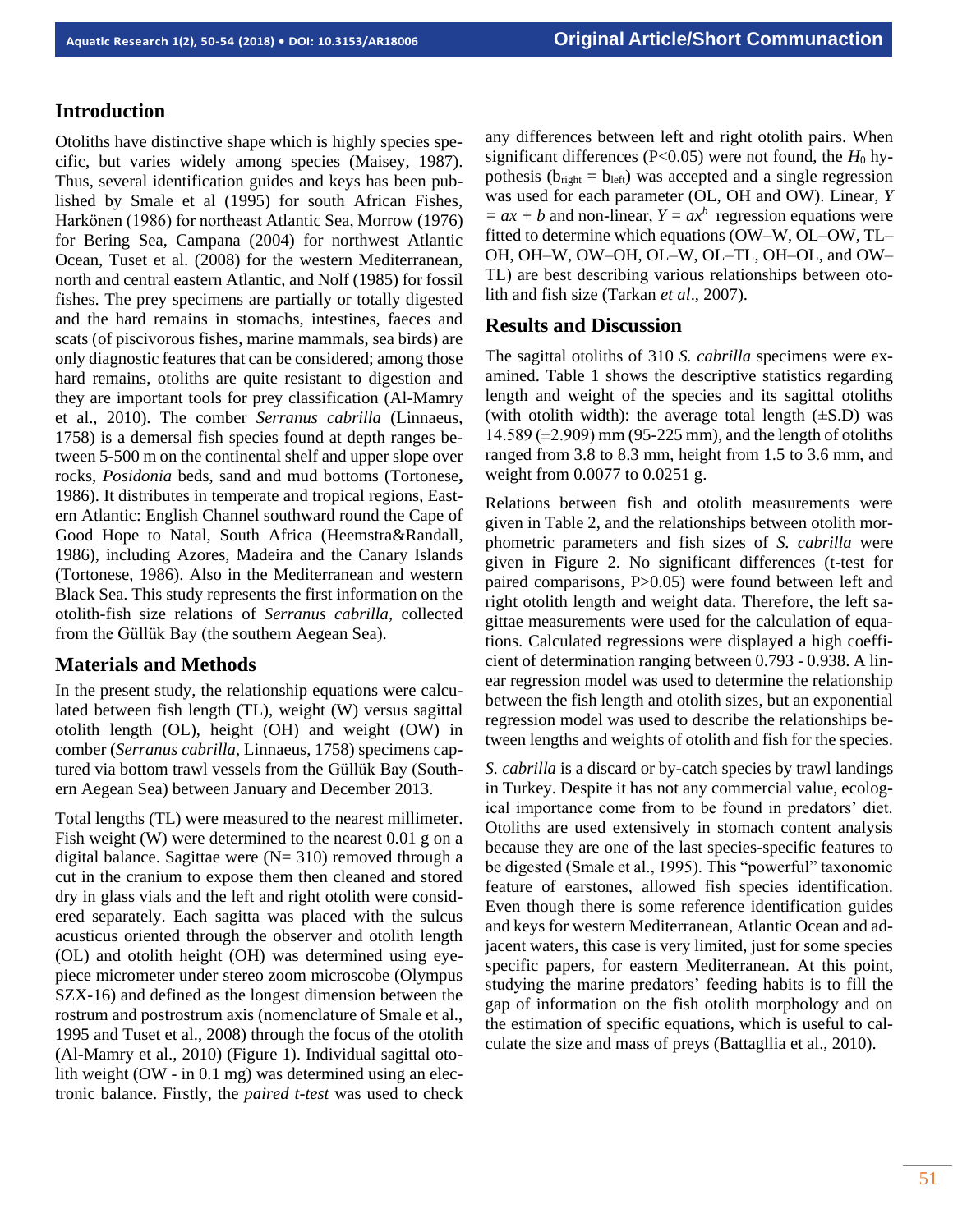# **Introduction**

Otoliths have distinctive shape which is highly species specific, but varies widely among species (Maisey, 1987). Thus, several identification guides and keys has been published by Smale et al (1995) for south African Fishes, Harkönen (1986) for northeast Atlantic Sea, Morrow (1976) for Bering Sea, Campana (2004) for northwest Atlantic Ocean, Tuset et al. (2008) for the western Mediterranean, north and central eastern Atlantic, and Nolf (1985) for fossil fishes. The prey specimens are partially or totally digested and the hard remains in stomachs, intestines, faeces and scats (of piscivorous fishes, marine mammals, sea birds) are only diagnostic features that can be considered; among those hard remains, otoliths are quite resistant to digestion and they are important tools for prey classification (Al-Mamry et al., 2010). The comber *Serranus cabrilla* (Linnaeus, 1758) is a demersal fish species found at depth ranges between 5-500 m on the continental shelf and upper slope over rocks, *Posidonia* beds, sand and mud bottoms (Tortonese**,** 1986). It distributes in temperate and tropical regions, Eastern Atlantic: English Channel southward round the Cape of Good Hope to Natal, South Africa (Heemstra&Randall, 1986), including Azores, Madeira and the Canary Islands (Tortonese, 1986). Also in the Mediterranean and western Black Sea. This study represents the first information on the otolith-fish size relations of *Serranus cabrilla,* collected from the Güllük Bay (the southern Aegean Sea).

# **Materials and Methods**

In the present study, the relationship equations were calculated between fish length (TL), weight (W) versus sagittal otolith length (OL), height (OH) and weight (OW) in comber (*Serranus cabrilla*, Linnaeus, 1758) specimens captured via bottom trawl vessels from the Güllük Bay (Southern Aegean Sea) between January and December 2013.

Total lengths (TL) were measured to the nearest millimeter. Fish weight (W) were determined to the nearest 0.01 g on a digital balance. Sagittae were  $(N= 310)$  removed through a cut in the cranium to expose them then cleaned and stored dry in glass vials and the left and right otolith were considered separately. Each sagitta was placed with the sulcus acusticus oriented through the observer and otolith length (OL) and otolith height (OH) was determined using eyepiece micrometer under stereo zoom microscobe (Olympus SZX-16) and defined as the longest dimension between the rostrum and postrostrum axis (nomenclature of Smale et al., 1995 and Tuset et al., 2008) through the focus of the otolith (Al-Mamry et al., 2010) (Figure 1). Individual sagittal otolith weight (OW - in 0.1 mg) was determined using an electronic balance. Firstly, the *paired t-test* was used to check any differences between left and right otolith pairs. When significant differences ( $P<0.05$ ) were not found, the  $H_0$  hypothesis ( $b_{\text{right}} = b_{\text{left}}$ ) was accepted and a single regression was used for each parameter (OL, OH and OW). Linear, *Y*   $= ax + b$  and non-linear,  $Y = ax^b$  regression equations were fitted to determine which equations (OW–W, OL–OW, TL– OH, OH–W, OW–OH, OL–W, OL–TL, OH–OL, and OW– TL) are best describing various relationships between otolith and fish size (Tarkan *et al*., 2007).

### **Results and Discussion**

The sagittal otoliths of 310 *S. cabrilla* specimens were examined. Table 1 shows the descriptive statistics regarding length and weight of the species and its sagittal otoliths (with otolith width): the average total length  $(\pm S.D)$  was 14.589 (±2.909) mm (95-225 mm), and the length of otoliths ranged from 3.8 to 8.3 mm, height from 1.5 to 3.6 mm, and weight from 0.0077 to 0.0251 g.

Relations between fish and otolith measurements were given in Table 2, and the relationships between otolith morphometric parameters and fish sizes of *S. cabrilla* were given in Figure 2. No significant differences (t-test for paired comparisons, P>0.05) were found between left and right otolith length and weight data. Therefore, the left sagittae measurements were used for the calculation of equations. Calculated regressions were displayed a high coefficient of determination ranging between 0.793 - 0.938. A linear regression model was used to determine the relationship between the fish length and otolith sizes, but an exponential regression model was used to describe the relationships between lengths and weights of otolith and fish for the species.

*S. cabrilla* is a discard or by-catch species by trawl landings in Turkey. Despite it has not any commercial value, ecological importance come from to be found in predators' diet. Otoliths are used extensively in stomach content analysis because they are one of the last species-specific features to be digested (Smale et al., 1995). This "powerful" taxonomic feature of earstones, allowed fish species identification. Even though there is some reference identification guides and keys for western Mediterranean, Atlantic Ocean and adjacent waters, this case is very limited, just for some species specific papers, for eastern Mediterranean. At this point, studying the marine predators' feeding habits is to fill the gap of information on the fish otolith morphology and on the estimation of specific equations, which is useful to calculate the size and mass of preys (Battagllia et al., 2010).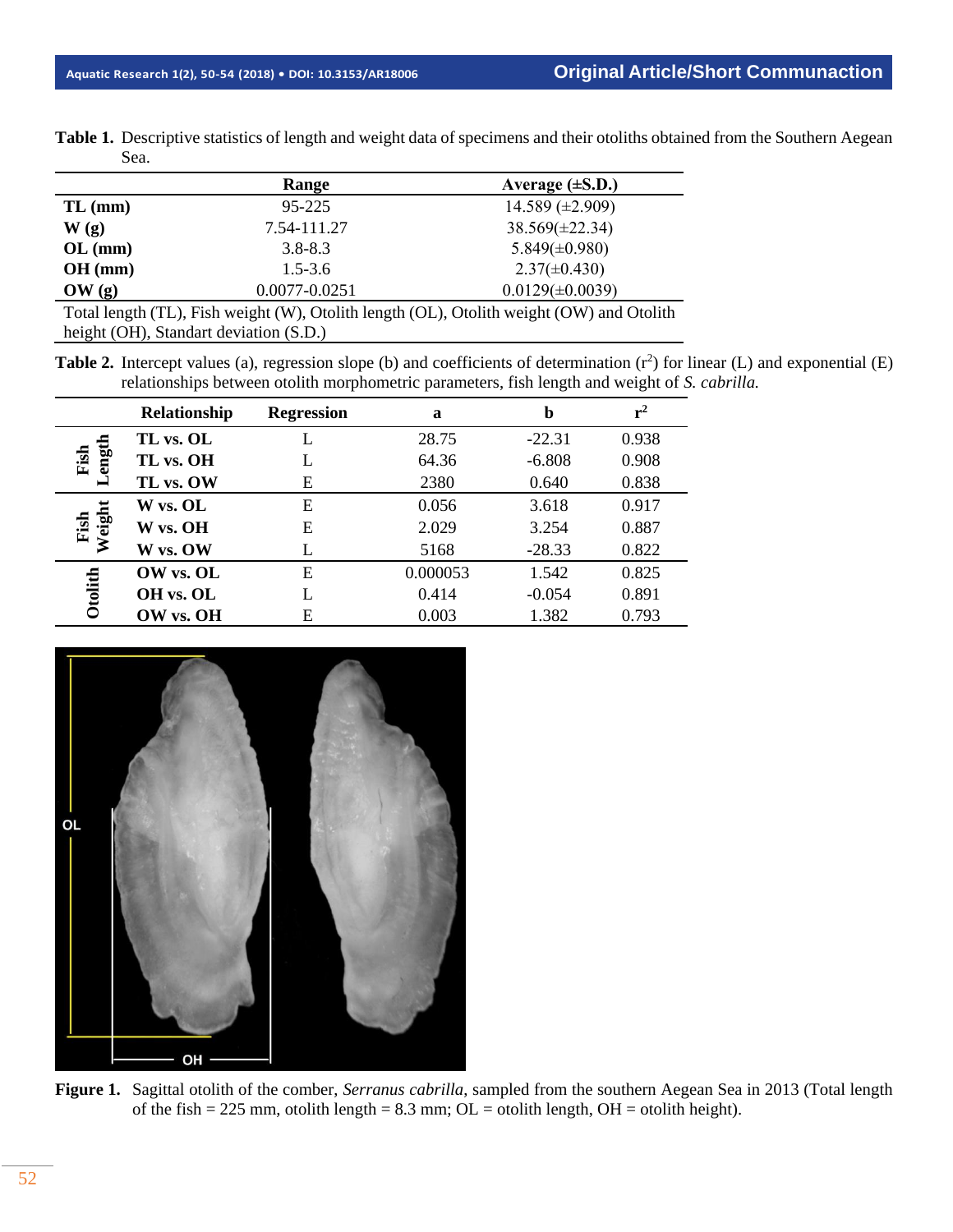| Table 1. Descriptive statistics of length and weight data of specimens and their otoliths obtained from the Southern Aegean |
|-----------------------------------------------------------------------------------------------------------------------------|
| Sea.                                                                                                                        |

|                                                                                          | Range             | Average $(\pm S.D.)$ |  |  |  |  |
|------------------------------------------------------------------------------------------|-------------------|----------------------|--|--|--|--|
| $TL$ (mm)                                                                                | 95-225            | 14.589 $(\pm 2.909)$ |  |  |  |  |
| W(g)                                                                                     | 7.54-111.27       | $38.569(\pm 22.34)$  |  |  |  |  |
| $OL$ (mm)                                                                                | $3.8 - 8.3$       | $5.849(\pm 0.980)$   |  |  |  |  |
| $OH$ (mm)                                                                                | $1.5 - 3.6$       | $2.37(\pm 0.430)$    |  |  |  |  |
| OW(g)                                                                                    | $0.0077 - 0.0251$ | $0.0129(\pm 0.0039)$ |  |  |  |  |
| Total length (TL), Fish weight (W), Otolith length (OL), Otolith weight (OW) and Otolith |                   |                      |  |  |  |  |
| height (OH), Standart deviation (S.D.)                                                   |                   |                      |  |  |  |  |

**Table 2.** Intercept values (a), regression slope (b) and coefficients of determination  $(r^2)$  for linear (L) and exponential (E) relationships between otolith morphometric parameters, fish length and weight of *S. cabrilla.*

|                | Relationship | <b>Regression</b> | a        | b        | $r^2$ |
|----------------|--------------|-------------------|----------|----------|-------|
|                | TL vs. OL    | L                 | 28.75    | $-22.31$ | 0.938 |
| ength<br>Fish  | TL vs. OH    | L                 | 64.36    | $-6.808$ | 0.908 |
|                | TL vs. OW    | E                 | 2380     | 0.640    | 0.838 |
|                | W vs. OL     | E                 | 0.056    | 3.618    | 0.917 |
| Weight<br>Fish | W vs. OH     | E                 | 2.029    | 3.254    | 0.887 |
|                | W vs. OW     |                   | 5168     | $-28.33$ | 0.822 |
|                | OW vs. OL    | E                 | 0.000053 | 1.542    | 0.825 |
| Otolith        | OH vs. OL    | L                 | 0.414    | $-0.054$ | 0.891 |
|                | OW vs. OH    | Е                 | 0.003    | 1.382    | 0.793 |



**Figure 1.** Sagittal otolith of the comber, *Serranus cabrilla*, sampled from the southern Aegean Sea in 2013 (Total length of the fish = 225 mm, otolith length = 8.3 mm;  $OL =$  otolith length,  $OH =$  otolith height).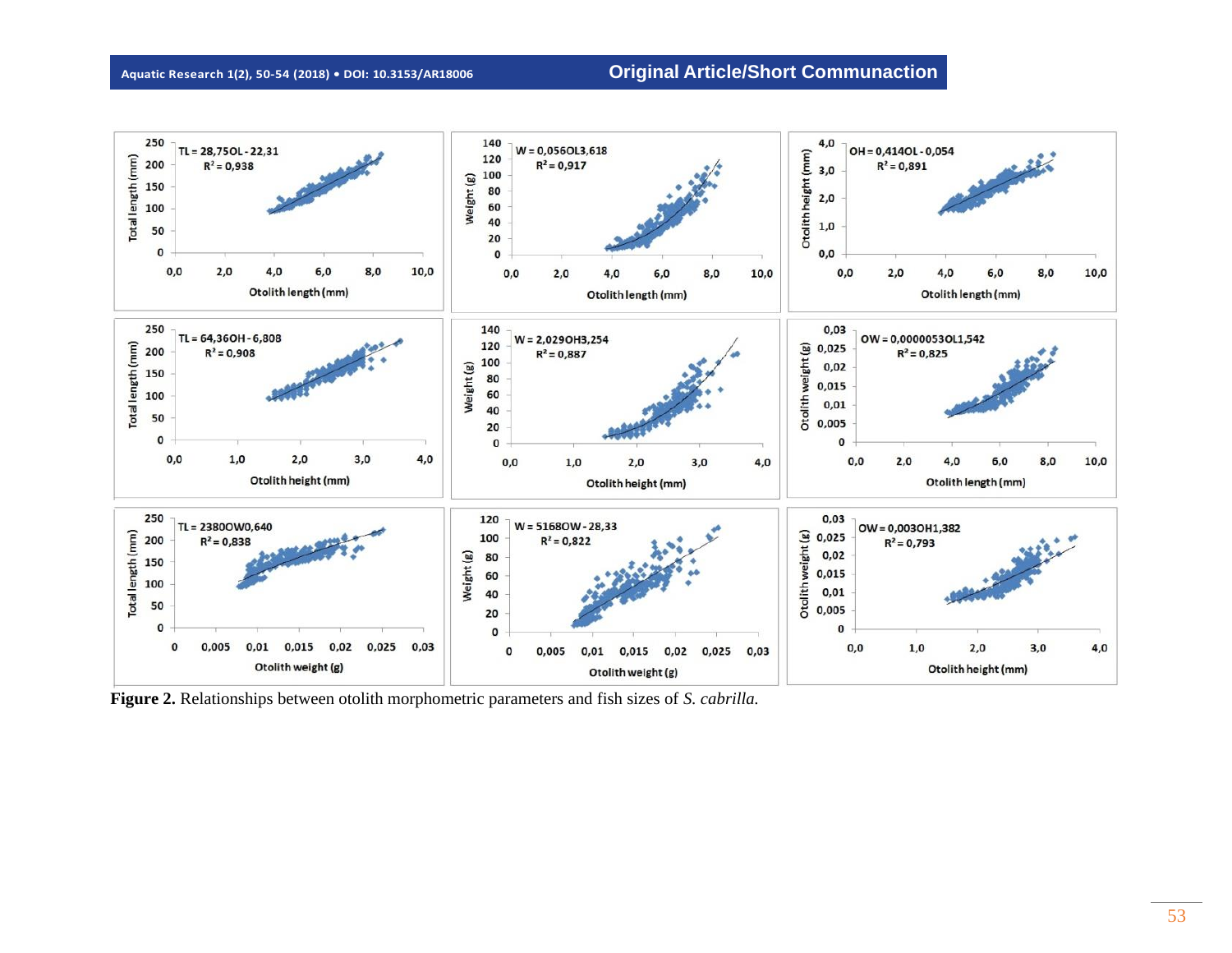

**Figure 2.** Relationships between otolith morphometric parameters and fish sizes of *S. cabrilla.*